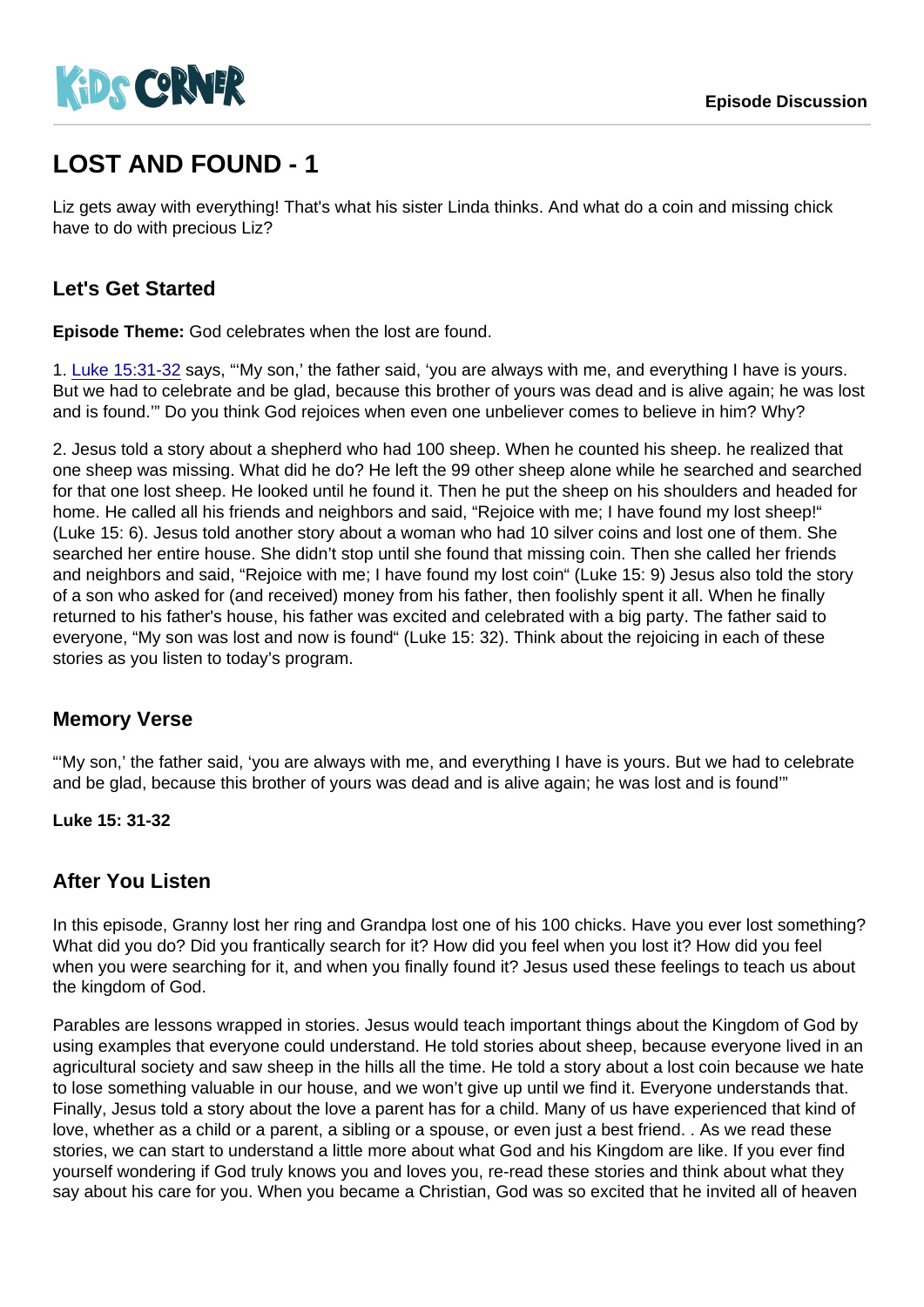# LOST AND FOUND - 1

Liz gets away with everything! That's what his sister Linda thinks. And what do a coin and missing chick have to do with precious Liz?

# Let's Get Started

Episode Theme: God celebrates when the lost are found.

1. [Luke 15:31-32](https://www.biblegateway.com/passage/?search=Luke 15:31-32) says, "'My son,' the father said, 'you are always with me, and everything I have is yours. But we had to celebrate and be glad, because this brother of yours was dead and is alive again; he was lost and is found.'" Do you think God rejoices when even one unbeliever comes to believe in him? Why?

2. Jesus told a story about a shepherd who had 100 sheep. When he counted his sheep. he realized that one sheep was missing. What did he do? He left the 99 other sheep alone while he searched and searched for that one lost sheep. He looked until he found it. Then he put the sheep on his shoulders and headed for home. He called all his friends and neighbors and said, "Rejoice with me; I have found my lost sheep!" (Luke 15: 6). Jesus told another story about a woman who had 10 silver coins and lost one of them. She searched her entire house. She didn't stop until she found that missing coin. Then she called her friends and neighbors and said, "Rejoice with me; I have found my lost coin" (Luke 15: 9) Jesus also told the story of a son who asked for (and received) money from his father, then foolishly spent it all. When he finally returned to his father's house, his father was excited and celebrated with a big party. The father said to everyone, "My son was lost and now is found" (Luke 15: 32). Think about the rejoicing in each of these stories as you listen to today's program.

## Memory Verse

"'My son,' the father said, 'you are always with me, and everything I have is yours. But we had to celebrate and be glad, because this brother of yours was dead and is alive again; he was lost and is found'"

Luke 15: 31-32

## After You Listen

In this episode, Granny lost her ring and Grandpa lost one of his 100 chicks. Have you ever lost something? What did you do? Did you frantically search for it? How did you feel when you lost it? How did you feel when you were searching for it, and when you finally found it? Jesus used these feelings to teach us about the kingdom of God.

Parables are lessons wrapped in stories. Jesus would teach important things about the Kingdom of God by using examples that everyone could understand. He told stories about sheep, because everyone lived in an agricultural society and saw sheep in the hills all the time. He told a story about a lost coin because we hate to lose something valuable in our house, and we won't give up until we find it. Everyone understands that. Finally, Jesus told a story about the love a parent has for a child. Many of us have experienced that kind of love, whether as a child or a parent, a sibling or a spouse, or even just a best friend. . As we read these stories, we can start to understand a little more about what God and his Kingdom are like. If you ever find yourself wondering if God truly knows you and loves you, re-read these stories and think about what they say about his care for you. When you became a Christian, God was so excited that he invited all of heaven